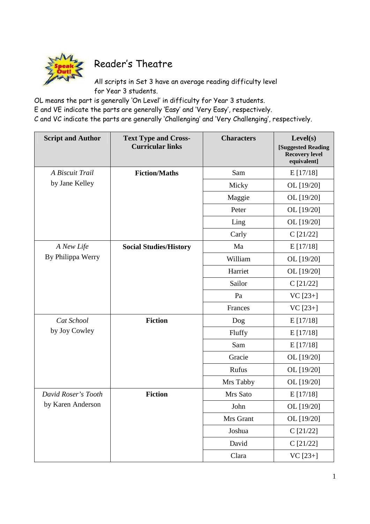

## Reader's Theatre

All scripts in Set 3 have an average reading difficulty level for Year 3 students.

OL means the part is generally 'On Level' in difficulty for Year 3 students.  $\,$ 

E and VE indicate the parts are generally 'Easy' and 'Very Easy', respectively.

C and VC indicate the parts are generally 'Challenging' and 'Very Challenging', respectively.

| <b>Script and Author</b>                 | <b>Text Type and Cross-</b><br><b>Curricular links</b> | <b>Characters</b> | Level(s)<br>[Suggested Reading<br><b>Recovery level</b><br>equivalent] |
|------------------------------------------|--------------------------------------------------------|-------------------|------------------------------------------------------------------------|
| A Biscuit Trail<br>by Jane Kelley        | <b>Fiction/Maths</b>                                   | Sam               | E[17/18]                                                               |
|                                          |                                                        | Micky             | OL [19/20]                                                             |
|                                          |                                                        | Maggie            | OL [19/20]                                                             |
|                                          |                                                        | Peter             | OL [19/20]                                                             |
|                                          |                                                        | Ling              | OL [19/20]                                                             |
|                                          |                                                        | Carly             | $C$ [21/22]                                                            |
| A New Life<br>By Philippa Werry          | <b>Social Studies/History</b>                          | Ma                | E[17/18]                                                               |
|                                          |                                                        | William           | OL [19/20]                                                             |
|                                          |                                                        | Harriet           | OL [19/20]                                                             |
|                                          |                                                        | Sailor            | C[21/22]                                                               |
|                                          |                                                        | Pa                | $VC [23+]$                                                             |
|                                          |                                                        | Frances           | $VC [23+]$                                                             |
| Cat School<br>by Joy Cowley              | <b>Fiction</b>                                         | Dog               | E[17/18]                                                               |
|                                          |                                                        | Fluffy            | E[17/18]                                                               |
|                                          |                                                        | Sam               | E[17/18]                                                               |
|                                          |                                                        | Gracie            | OL [19/20]                                                             |
|                                          |                                                        | Rufus             | OL [19/20]                                                             |
|                                          |                                                        | Mrs Tabby         | OL [19/20]                                                             |
| David Roser's Tooth<br>by Karen Anderson | <b>Fiction</b>                                         | Mrs Sato          | E[17/18]                                                               |
|                                          |                                                        | John              | OL [19/20]                                                             |
|                                          |                                                        | Mrs Grant         | OL [19/20]                                                             |
|                                          |                                                        | Joshua            | C[21/22]                                                               |
|                                          |                                                        | David             | C[21/22]                                                               |
|                                          |                                                        | Clara             | VC [23+]                                                               |